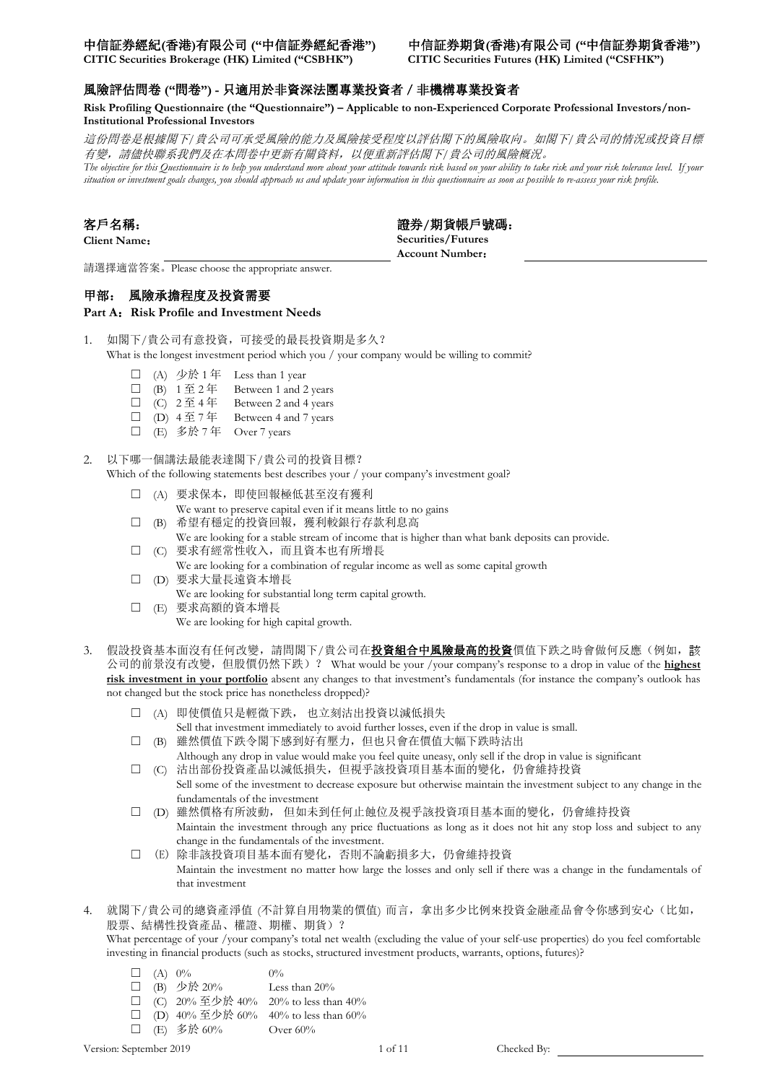**CITIC Securities Brokerage (HK) Limited ("CSBHK") CITIC Securities Futures (HK) Limited ("CSFHK")**

### 風險評估問卷 **("**問卷**") -** 只適用於非資深法團專業投資者/非機構專業投資者

**Risk Profiling Questionnaire (the "Questionnaire") – Applicable to non-Experienced Corporate Professional Investors/non-Institutional Professional Investors**

這份問卷是根據閣下*/*貴公司可承受風險的能力及風險接受程度以評估閣下的風險取向。如閣下*/*貴公司的情況或投資目標 有變,請儘快聯系我們及在本問卷中更新有關資料,以便重新評估閣下*/*貴公司的風險概況。 The objective for this Questionnaire is to help you understand more about your attitude towards risk based on your rake risk and your risk tolerance level. If your

*situation or investment goals changes, you should approach us and update your information in this questionnaire as soon as possible to re-assess your risk profile.*

**客戶名稱: 2008年 - 2008年 - 2008年 - 2008年 - 2008年 - 2008年 - 2008年 - 2008年 - 2008年 - 2008年 - 2008年 - 2008年 - 2008年 - 2008年 Client Name**: **Securities/Futures Account Number**:

請選擇適當答案。Please choose the appropriate answer.

### 甲部:風險承擔程度及投資需要

Part A: Risk Profile and Investment Needs

- 1. 如閣下/貴公司有意投資,可接受的最長投資期是多久? What is the longest investment period which you / your company would be willing to commit?
	- □ (A) 少於 1年 Less than 1 year
	- □ (B)  $1 \nsubseteq 2$ 年 Between 1 and 2 years
	- $\Box$  (C)  $2 \underline{\mathfrak{F}} 4 \underline{\mathfrak{F}}$  Between 2 and 4 years
	- □ (D)  $4 \nsubseteq 7$  年 Between 4 and 7 years
	- □ (E) 多於 7年 Over 7 years
- 2. 以下哪一個講法最能表達閣下/貴公司的投資目標?

Which of the following statements best describes your / your company's investment goal?

- □ (A) 要求保本, 即使回報極低甚至沒有獲利
	- We want to preserve capital even if it means little to no gains
- □ (B) 希望有穩定的投資回報, 獲利較銀行存款利息高 We are looking for a stable stream of income that is higher than what bank deposits can provide.
- ☐ (C) 要求有經常性收入,而且資本也有所增長
- We are looking for a combination of regular income as well as some capital growth
- □ (D) 要求大量長遠資本增長
- We are looking for substantial long term capital growth.
- ☐ (E) 要求高額的資本增長
	- We are looking for high capital growth.
- 3. 假設投資基本面沒有任何改變,請問閣下/貴公司在投資組合中風險最高的投資價值下跌之時會做何反應(例如,該 公司的前景沒有改變,但股價仍然下跌)? What would be your /your company's response to a drop in value of the **highest risk investment in your portfolio** absent any changes to that investment's fundamentals (for instance the company's outlook has not changed but the stock price has nonetheless dropped)?
	- ☐ (A) 即使價值只是輕微下跌, 也立刻沽出投資以減低損失 Sell that investment immediately to avoid further losses, even if the drop in value is small.
	- □ (B) 雖然價值下跌令閣下感到好有壓力, 但也只會在價值大幅下跌時沽出 Although any drop in value would make you feel quite uneasy, only sell if the drop in value is significant
	- ☐ (C) 沽出部份投資產品以減低損失,但視乎該投資項目基本面的變化,仍會維持投資 Sell some of the investment to decrease exposure but otherwise maintain the investment subject to any change in the fundamentals of the investment
	- ☐ (D) 雖然價格有所波動, 但如未到任何止蝕位及視乎該投資項目基本面的變化,仍會維持投資 Maintain the investment through any price fluctuations as long as it does not hit any stop loss and subject to any change in the fundamentals of the investment.
	- ☐ (E) 除非該投資項目基本面有變化,否則不論虧損多大,仍會維持投資 Maintain the investment no matter how large the losses and only sell if there was a change in the fundamentals of that investment
- 4. 就閣下/貴公司的總資產淨值 (不計算自用物業的價值) 而言,拿出多少比例來投資金融產品會令你感到安心(比如, 股票、結構性投資產品、權證、期權、期貨)?

What percentage of your /your company's total net wealth (excluding the value of your self-use properties) do you feel comfortable investing in financial products (such as stocks, structured investment products, warrants, options, futures)?

- $\Box$  (A)  $0\%$  0%
- □ (B) 少於 20% Less than 20%
- □ (C) 20% 至少於 40% 20% to less than 40%
- □ (D)  $40\%$  至少於 60%  $40\%$  to less than 60%
- ☐ (E) 多於 60% Over 60%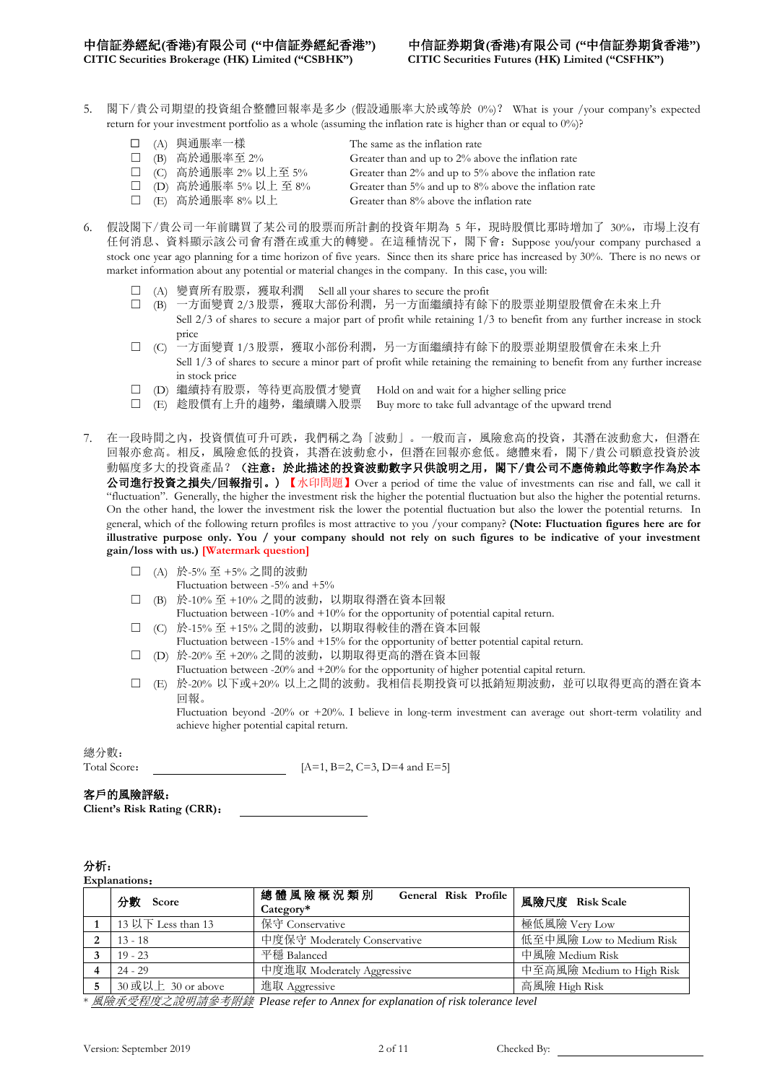**CITIC Securities Brokerage (HK) Limited ("CSBHK") CITIC Securities Futures (HK) Limited ("CSFHK")**

- 5. 閣下/貴公司期望的投資組合整體回報率是多少 (假設通脹率大於或等於 0%)? What is your /your company's expected return for your investment portfolio as a whole (assuming the inflation rate is higher than or equal to 0%)?
	- ☐ (A) 與通脹率一樣 The same as the inflation rate
	-
	-
	-

- ☐ (B) 高於通脹率至 2% Greater than and up to 2% above the inflation rate
- ☐ (C) 高於通脹率 2% 以上至 5% Greater than 2% and up to 5% above the inflation rate
	-
- ☐ (E) 高於通脹率 8% 以上 Greater than 8% above the inflation rate
- ☐ (D) 高於通脹率 5% 以上 至 8% Greater than 5% and up to 8% above the inflation rate
- 
- 
- 
- 6. 假設閣下/貴公司一年前購買了某公司的股票而所計劃的投資年期為 5 年,現時股價比那時增加了 30%,市場上沒有 任何消息、資料顯示該公司會有潛在或重大的轉變。在這種情況下,閣下會:Suppose you/your company purchased a stock one year ago planning for a time horizon of five years. Since then its share price has increased by 30%. There is no news or market information about any potential or material changes in the company. In this case, you will:
	- □ (A) 變賣所有股票,獲取利潤 Sell all your shares to secure the profit
	- □ (B) 一方面變賣 2/3 股票,獲取大部份利潤,另一方面繼續持有餘下的股票並期望股價會在未來上升
		- Sell 2/3 of shares to secure a major part of profit while retaining 1/3 to benefit from any further increase in stock price
	- ☐ (C) 一方面變賣 1/3 股票,獲取小部份利潤,另一方面繼續持有餘下的股票並期望股價會在未來上升 Sell 1/3 of shares to secure a minor part of profit while retaining the remaining to benefit from any further increase in stock price
	- □ (D) 繼續持有股票, 等待更高股價才變賣 Hold on and wait for a higher selling price
	- ☐ (E) 趁股價有上升的趨勢,繼續購入股票 Buy more to take full advantage of the upward trend
- 7. 在一段時間之內,投資價值可升可跌,我們稱之為「波動」。一般而言,風險愈高的投資,其潛在波動愈大,但潛在 回報亦愈高。相反,風險愈低的投資,其潛在波動愈小,但潛在回報亦愈低。總體來看,閣下/貴公司願意投資於波 動幅度多大的投資產品?(注意:於此描述的投資波動數字只供說明之用,閣下/貴公司不應倚賴此等數字作為於本 公司進行投資之損失/回報指引。) 【水印問題】Over a period of time the value of investments can rise and fall, we call it "fluctuation". Generally, the higher the investment risk the higher the potential fluctuation but also the higher the potential returns. On the other hand, the lower the investment risk the lower the potential fluctuation but also the lower the potential returns. In general, which of the following return profiles is most attractive to you /your company? (**Note: Fluctuation figures here are for illustrative purpose only. You / your company should not rely on such figures to be indicative of your investment gain/loss with us.) [Watermark question]** 
	- ☐ (A) 於-5% 至 +5% 之間的波動
		- Fluctuation between -5% and +5%
	- ☐ (B) 於-10% 至 +10% 之間的波動,以期取得潛在資本回報
		- Fluctuation between  $-10\%$  and  $+10\%$  for the opportunity of potential capital return.
	- ☐ (C) 於-15% 至 +15% 之間的波動,以期取得較佳的潛在資本回報 Fluctuation between -15% and +15% for the opportunity of better potential capital return.
	- ☐ (D) 於-20% 至 +20% 之間的波動,以期取得更高的潛在資本回報
		- Fluctuation between -20% and +20% for the opportunity of higher potential capital return.
	- ☐ (E) 於-20% 以下或+20% 以上之間的波動。我相信長期投資可以抵銷短期波動,並可以取得更高的潛在資本 回報。

Fluctuation beyond -20% or +20%. I believe in long-term investment can average out short-term volatility and achieve higher potential capital return.

總分數:

Total Score:  $[A=1, B=2, C=3, D=4 \text{ and } E=5]$ 

### 客戶的風險評級:

**Client's Risk Rating (CRR)**:

### 分析:

**Explanations**: 分數 **Score** 總 體 風 險 概 況 <sup>類</sup> <sup>別</sup> **General Risk Profile Category\*** 風險尺度 **Risk Scale** 1 | 13 以下 Less than 13 | 保守 Conservative | 極低風險 Very Low 2 | 13 - 18 | 中度保守 Moderately Conservative | 低至中風險 Low to Medium Risk **3** | 19 - 23 | 平穩 Balanced | 平穩 Balanced | 中風險 Medium Risk **4** 24 - 29 中度進取 Moderately Aggressive 中至高風險 Medium to High Risk 5 30 或以上 30 or above <sup>1 進取</sup> Aggressive 1 about 20 app 30 或以上 30 or above 5 a 直風險 High Risk<br>*風險承受程度之說明請參考附錄 Please refer to Annex for explanation of risk tolerance level* 

 $P$ lease refer to Annex for explanation of risk tolerance level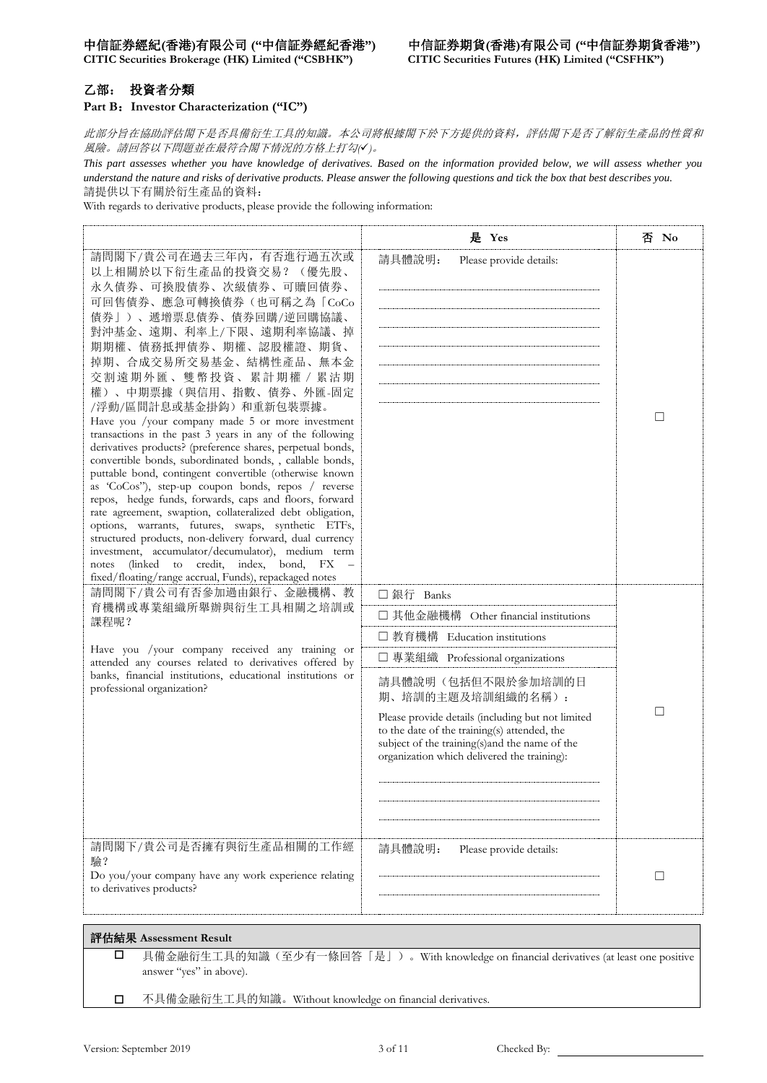**CITIC Securities Brokerage (HK) Limited ("CSBHK") CITIC Securities Futures (HK) Limited ("CSFHK")**

### 乙部: 投資者分類

### **Part B**:**Investor Characterization ("IC")**

此部分旨在協助評估閣下是否具備衍生工具的知識。本公司將根據閣下於下方提供的資料,評估閣下是否了解衍生產品的性質和 風險。請回答以下問題並在最符合閣下情況的方格上打勾*()*。

*This part assesses whether you have knowledge of derivatives. Based on the information provided below, we will assess whether you understand the nature and risks of derivative products. Please answer the following questions and tick the box that best describes you.* 請提供以下有關於衍生產品的資料:

With regards to derivative products, please provide the following information:

|                                                                                                                                                                                                                                                                                                                                                                                                                                                                                                                                                                                                                                                                                                                                                                                                                                                                                                                                                                                                                                                                                         | 是 Yes                                                                                                                                                                                                                                                                                                                                                                      | 否 No |
|-----------------------------------------------------------------------------------------------------------------------------------------------------------------------------------------------------------------------------------------------------------------------------------------------------------------------------------------------------------------------------------------------------------------------------------------------------------------------------------------------------------------------------------------------------------------------------------------------------------------------------------------------------------------------------------------------------------------------------------------------------------------------------------------------------------------------------------------------------------------------------------------------------------------------------------------------------------------------------------------------------------------------------------------------------------------------------------------|----------------------------------------------------------------------------------------------------------------------------------------------------------------------------------------------------------------------------------------------------------------------------------------------------------------------------------------------------------------------------|------|
| 請問閣下/貴公司在過去三年內, 有否進行過五次或<br>以上相關於以下衍生產品的投資交易?<br>(優先股、<br>永久債券、可換股債券、次級債券、可贖回債券、<br>可回售債券、應急可轉換債券(也可稱之為「CoCo<br>債券」)、遞增票息債券、債券回購/逆回購協議、<br>對沖基金、遠期、利率上/下限、遠期利率協議、掉<br>期期權、債務抵押債券、期權、認股權證、期貨、<br>掉期、合成交易所交易基金、結構性產品、無本金<br>交割遠期外匯、雙幣投資、累計期權 / 累沽期<br>權)、中期票據(與信用、指數、債券、外匯-固定<br>/浮動/區間計息或基金掛鈎)和重新包裝票據。<br>Have you /your company made 5 or more investment<br>transactions in the past 3 years in any of the following<br>derivatives products? (preference shares, perpetual bonds,<br>convertible bonds, subordinated bonds, , callable bonds,<br>puttable bond, contingent convertible (otherwise known<br>as 'CoCos''), step-up coupon bonds, repos / reverse<br>repos, hedge funds, forwards, caps and floors, forward<br>rate agreement, swaption, collateralized debt obligation,<br>options, warrants, futures, swaps, synthetic ETFs,<br>structured products, non-delivery forward, dual currency<br>investment, accumulator/decumulator), medium term<br>credit,<br>index,<br>bond,<br>(linked)<br>to<br>notes<br>FX<br>fixed/floating/range accrual, Funds), repackaged notes | 請具體說明:<br>Please provide details:                                                                                                                                                                                                                                                                                                                                          | □    |
| 請問閣下/貴公司有否參加過由銀行、金融機構、教<br>育機構或專業組織所舉辦與衍生工具相關之培訓或<br>課程呢?<br>Have you /your company received any training or<br>attended any courses related to derivatives offered by<br>banks, financial institutions, educational institutions or<br>professional organization?                                                                                                                                                                                                                                                                                                                                                                                                                                                                                                                                                                                                                                                                                                                                                                                                                      | □ 銀行 Banks<br>□ 其他金融機構 Other financial institutions<br>□ 教育機構 Education institutions<br>□ 專業組織 Professional organizations<br>請具體說明(包括但不限於參加培訓的日<br>期、培訓的主題及培訓組織的名稱):<br>Please provide details (including but not limited<br>to the date of the training(s) attended, the<br>subject of the training(s) and the name of the<br>organization which delivered the training): | □    |
| 請問閣下/貴公司是否擁有與衍生產品相關的工作經<br>驗?<br>Do you/your company have any work experience relating<br>to derivatives products?                                                                                                                                                                                                                                                                                                                                                                                                                                                                                                                                                                                                                                                                                                                                                                                                                                                                                                                                                                      | 請具體說明:<br>Please provide details:                                                                                                                                                                                                                                                                                                                                          | □    |
| 評估結果 Assessment Result<br>□<br>answer "yes" in above).                                                                                                                                                                                                                                                                                                                                                                                                                                                                                                                                                                                                                                                                                                                                                                                                                                                                                                                                                                                                                                  | 具備金融衍生工具的知識(至少有一條回答「是」)。With knowledge on financial derivatives (at least one positive                                                                                                                                                                                                                                                                                     |      |

不具備金融衍生工具的知識。Without knowledge on financial derivatives.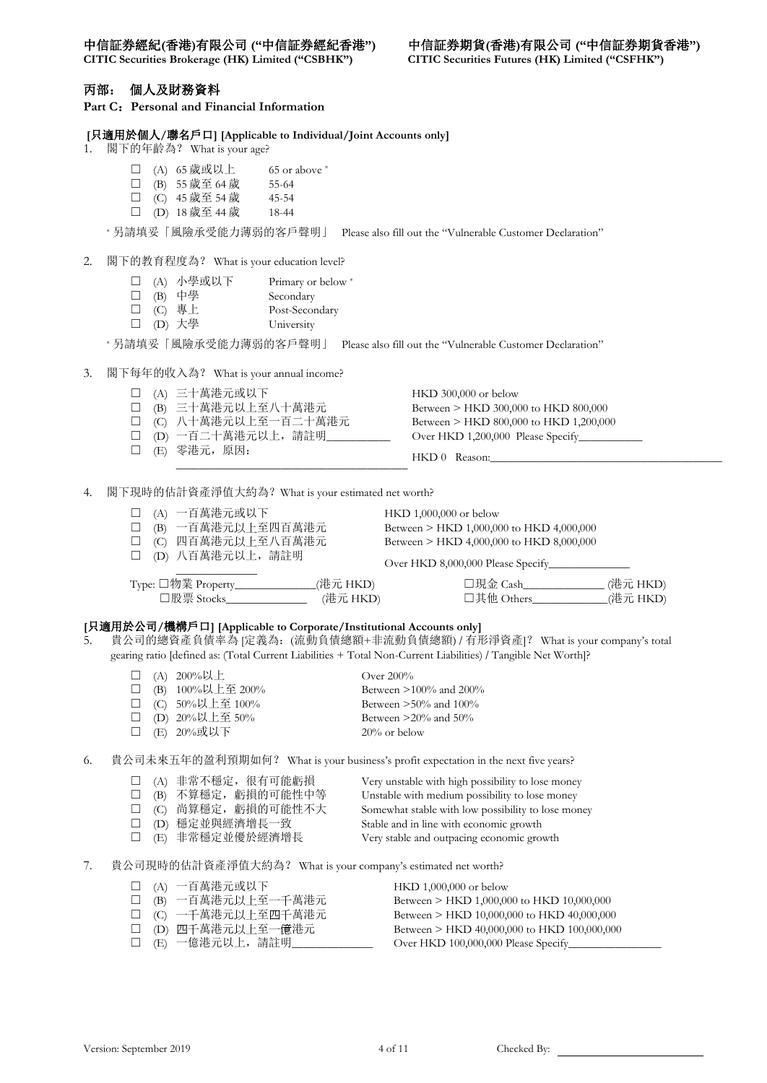**CITIC Securities Brokerage (HK) Limited ("CSBHK") CITIC Securities Futures (HK) Limited ("CSFHK")**

### 丙部: 個人及財務資料

**Part C**:**Personal and Financial Information**

### **[**只適用於個人**/**聯名戶口**] [Applicable to Individual/Joint Accounts only]**

1. 閣下的年齡為? What is your age?

|  |  | □ (A) 65 歲或以上 | 65 or above * |
|--|--|---------------|---------------|
|--|--|---------------|---------------|

- ☐ (B) 55 歲至 64 歲 55-64
- □ (C) 45 歲至 54 歲 45-54
- □ (D)  $18$  歲至 44 歲 18-44

\* 另請填妥「風險承受能力薄弱的客戶聲明」 Please also fill out the "Vulnerable Customer Declaration"

### 2. 閣下的教育程度為? What is your education level?

- □ (A) 小學或以下 Primary or below \*
- □ (B) 中學 Secondary
- □ (C) 專上 Post-Secondary
- □ (D) 大學 University

\* 另請填妥「風險承受能力薄弱的客戶聲明」 Please also fill out the "Vulnerable Customer Declaration"

- 3. 閣下每年的收入為? What is your annual income?
	- □ (A) 三十萬港元或以下 HKD 300,000 or below
	- □ (B) 三十萬港元以上至八十萬港元 Between > HKD 300,000 to HKD 800,000
	-
	-
	- □ (E) 零港元, 原因:
	- ☐ (C) 八十萬港元以上至一百二十萬港元 Between > HKD 800,000 to HKD 1,200,000 □ (D) 一百二十萬港元以上,請註明\_\_\_\_\_\_\_\_\_\_\_\_\_\_\_ Over HKD 1,200,000 Please Specify\_\_\_\_\_\_

HKD 0 Reason:

4. 閣下現時的估計資產淨值大約為?What is your estimated net worth?

\_\_\_\_\_\_\_\_\_\_\_\_\_\_\_\_\_\_\_\_\_\_\_\_\_\_\_\_\_\_\_\_\_\_\_\_\_\_\_\_

☐ (A) 一百萬港元或以下 HKD 1,000,000 or below □ (B) 一百萬港元以上至四百萬港元 Between > HKD 1,000,000 to HKD 4,000,000 □ (C) 四百萬港元以上至八百萬港元 Between > HKD 4,000,000 to HKD 8,000,000 □ (D) 八百萬港元以上,請註明 \_\_\_\_\_\_\_\_\_\_\_\_\_\_ Over HKD 8,000,000 Please Specify Type: □物業 Property\_\_\_\_\_\_\_\_\_\_\_\_\_\_(港元 HKD) □現金 Cash\_\_\_\_\_\_\_\_\_\_\_\_(港元 HKD)<br>□股票 Stocks\_\_\_\_\_\_\_\_\_\_\_\_\_\_ (港元 HKD) □其他 Others\_\_\_\_\_\_\_\_\_\_\_(港元 HKD) ☐股票 Stocks\_\_\_\_\_\_\_\_\_\_\_\_\_\_ (港元 HKD) ☐其他 Others\_\_\_\_\_\_\_\_\_\_\_\_\_(港元 HKD)

### **[**只適用於公司**/**機構戶口**] [Applicable to Corporate/Institutional Accounts only]**

5. 貴公司的總資產負債率為 [定義為:(流動負債總額+非流動負債總額) / 有形淨資產]? What is your company's total gearing ratio [defined as: (Total Current Liabilities + Total Non-Current Liabilities) / Tangible Net Worth]?

|  | □ (A) 200%以上           | Over $200\%$              |
|--|------------------------|---------------------------|
|  | □ (B) $100\%$ 以上至 200% | Between $>100\%$ and 200% |
|  | □ (C) 50%以上至 100%      | Between $>50\%$ and 100%  |
|  | □ (D) 20%以上至 50%       | Between $>20\%$ and 50%   |
|  | □ (E) 20%或以下           | $20\%$ or below           |

6. 貴公司未來五年的盈利預期如何? What is your business's profit expectation in the next five years?

|  | □ (A) 非常不穩定, 很有可能虧損  | Very unstable with high possibility to lose money  |
|--|----------------------|----------------------------------------------------|
|  | □ (B) 不算穩定, 虧損的可能性中等 | Unstable with medium possibility to lose money     |
|  | □ (C) 尚算穩定, 虧損的可能性不大 | Somewhat stable with low possibility to lose money |
|  | □ (D) 穩定並與經濟增長一致     | Stable and in line with economic growth            |
|  | □ (E) 非常穩定並優於經濟增長    | Very stable and outpacing economic growth          |

7. 貴公司現時的估計資產淨值大約為? What is your company's estimated net worth?

| □ (A) 一百萬港元或以下          | HKD 1,000,000 or below                      |
|-------------------------|---------------------------------------------|
| □ (B) 一百萬港元以上至一千萬港元     | Between > HKD 1,000,000 to HKD 10,000,000   |
| □ (C) 一千萬港元以上至四千萬港元     | Between > HKD 10,000,000 to HKD 40,000,000  |
| □ (D) 四千萬港元以上至一億港元      | Between > HKD 40,000,000 to HKD 100,000,000 |
| □ (E) 一億港元以上,請註明_______ |                                             |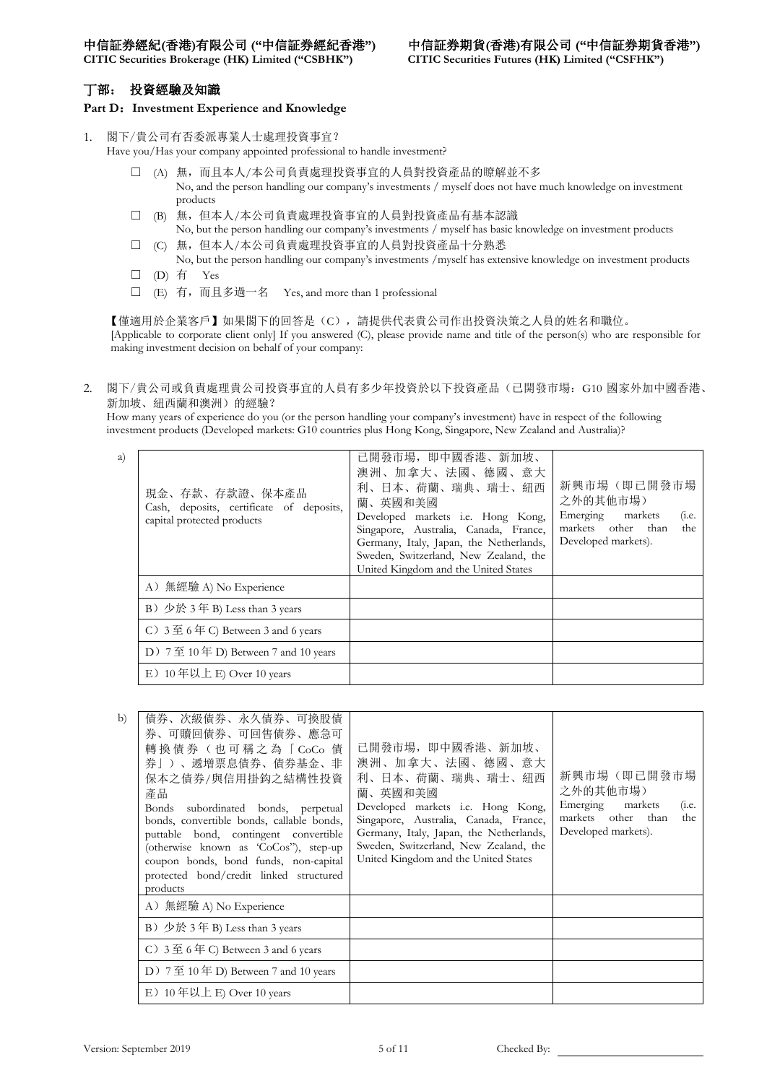**CITIC Securities Brokerage (HK) Limited ("CSBHK") CITIC Securities Futures (HK) Limited ("CSFHK")**

### 丁部: 投資經驗及知識

### **Part D**:**Investment Experience and Knowledge**

- 1. 閣下/貴公司有否委派專業人士處理投資事宜?
	- Have you/Has your company appointed professional to handle investment?
		- ☐ (A) 無,而且本人/本公司負責處理投資事宜的人員對投資產品的瞭解並不多 No, and the person handling our company's investments / myself does not have much knowledge on investment products
		- □ (B) 無, 但本人/本公司負責處理投資事宜的人員對投資產品有基本認識 No, but the person handling our company's investments / myself has basic knowledge on investment products
		- ☐ (C) 無,但本人/本公司負責處理投資事宜的人員對投資產品十分熟悉 No, but the person handling our company's investments /myself has extensive knowledge on investment products
		- □ (D) 有 Yes
		- ☐ (E) 有,而且多過一名 Yes, and more than 1 professional

【僅適用於企業客戶】如果閣下的回答是(C),請提供代表貴公司作出投資決策之人員的姓名和職位。 [Applicable to corporate client only] If you answered (C), please provide name and title of the person(s) who are responsible for making investment decision on behalf of your company:

2. 閣下/貴公司或負責處理貴公司投資事宜的人員有多少年投資於以下投資產品(已開發市場:G10 國家外加中國香港、 新加坡、紐西蘭和澳洲)的經驗?

How many years of experience do you (or the person handling your company's investment) have in respect of the following investment products (Developed markets: G10 countries plus Hong Kong, Singapore, New Zealand and Australia)?

| a) | 現金、存款、存款證、保本產品<br>Cash, deposits, certificate of deposits,<br>capital protected products | 已開發市場, 即中國香港、新加坡、<br>澳洲、加拿大、法國、德國、意大<br>利、日本、荷蘭、瑞典、瑞士、紐西<br>蘭、英國和美國<br>Developed markets <i>i.e.</i> Hong Kong,<br>Singapore, Australia, Canada, France,<br>Germany, Italy, Japan, the Netherlands,<br>Sweden, Switzerland, New Zealand, the<br>United Kingdom and the United States | 新興市場(即己開發市場<br>之外的其他市場)<br>Emerging markets<br>(i.e.<br>markets other than<br>the<br>Developed markets). |
|----|------------------------------------------------------------------------------------------|--------------------------------------------------------------------------------------------------------------------------------------------------------------------------------------------------------------------------------------------------------------------------------------|----------------------------------------------------------------------------------------------------------|
|    | A) 無經驗 A) No Experience                                                                  |                                                                                                                                                                                                                                                                                      |                                                                                                          |
|    | B) 少於 3年 B) Less than 3 years                                                            |                                                                                                                                                                                                                                                                                      |                                                                                                          |
|    | C) $3 \nsubseteq 6 \nsubseteq C$ Between 3 and 6 years                                   |                                                                                                                                                                                                                                                                                      |                                                                                                          |
|    | D) $7 \nsubseteq 10 \nsubseteq$ D) Between 7 and 10 years                                |                                                                                                                                                                                                                                                                                      |                                                                                                          |
|    | E) $10 \nsubseteq$ 以上 E) Over 10 years                                                   |                                                                                                                                                                                                                                                                                      |                                                                                                          |

| b) | 倩券、次級債券、永久債券、可換股債<br>券、可贖回債券、可回售債券、應急可<br>轉換債券 (也可稱之為「CoCo 債<br>券   ) 、遞增票息債券、債券基金、非<br>保本之債券/與信用掛鈎之結構性投資<br>產品<br>Bonds subordinated bonds, perpetual<br>bonds, convertible bonds, callable bonds,<br>puttable bond, contingent convertible<br>(otherwise known as 'CoCos''), step-up<br>coupon bonds, bond funds, non-capital<br>protected bond/credit linked structured<br>products | 己開發市場,即中國香港、新加坡、<br>澳洲、加拿大、法國、德國、意大<br>利、日本、荷蘭、瑞典、瑞士、紐西<br>蘭、英國和美國<br>Developed markets <i>i.e.</i> Hong Kong,<br>Singapore, Australia, Canada, France,<br>Germany, Italy, Japan, the Netherlands,<br>Sweden, Switzerland, New Zealand, the<br>United Kingdom and the United States | 新興市場(即己開發市場<br>之外的其他市場)<br>Emerging markets<br>(i.e.<br>markets other than<br>the<br>Developed markets). |
|----|----------------------------------------------------------------------------------------------------------------------------------------------------------------------------------------------------------------------------------------------------------------------------------------------------------------------------------------------------------------------------------------|-------------------------------------------------------------------------------------------------------------------------------------------------------------------------------------------------------------------------------------------------------------------------------------|----------------------------------------------------------------------------------------------------------|
|    | A) 無經驗 A) No Experience                                                                                                                                                                                                                                                                                                                                                                |                                                                                                                                                                                                                                                                                     |                                                                                                          |
|    | B) 少於 3年 B) Less than 3 years                                                                                                                                                                                                                                                                                                                                                          |                                                                                                                                                                                                                                                                                     |                                                                                                          |
|    | C) $3 \nsubseteq 6 \nsubseteq C$ Between 3 and 6 years                                                                                                                                                                                                                                                                                                                                 |                                                                                                                                                                                                                                                                                     |                                                                                                          |
|    | D) $7 \nsubseteq 10 \nsubseteq D$ Between 7 and 10 years                                                                                                                                                                                                                                                                                                                               |                                                                                                                                                                                                                                                                                     |                                                                                                          |
|    | E) $10 \notin \mathcal{Y}$ $\perp$ E) Over 10 years                                                                                                                                                                                                                                                                                                                                    |                                                                                                                                                                                                                                                                                     |                                                                                                          |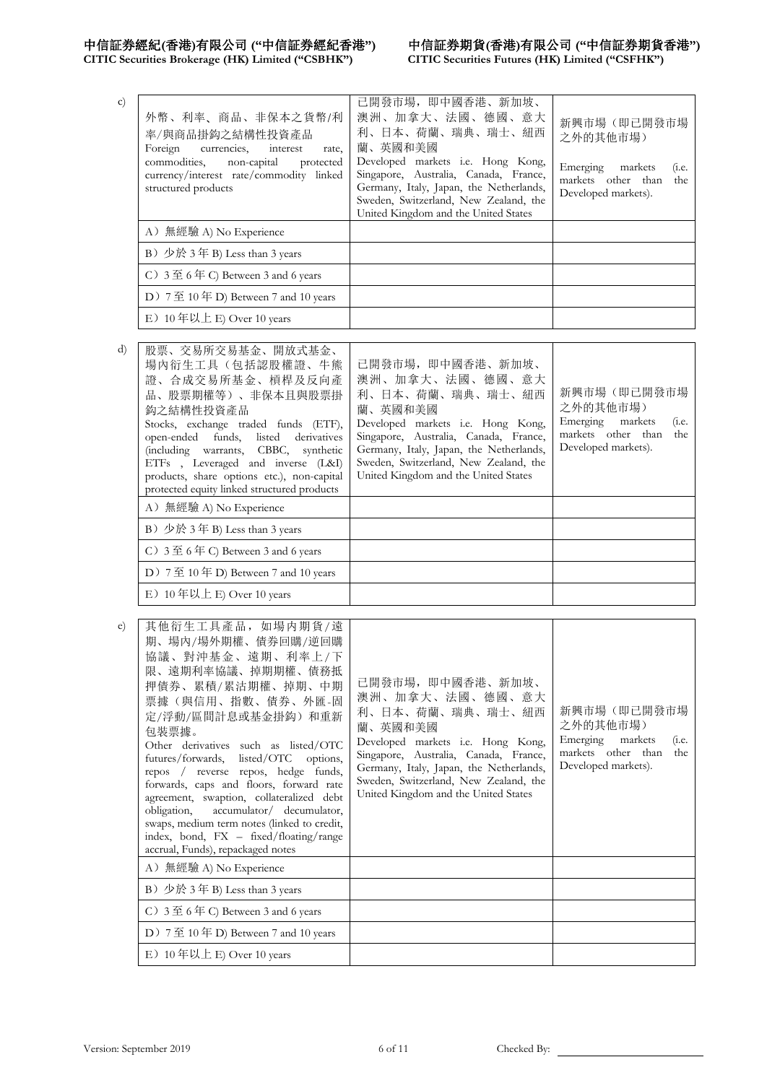# 中信証券經紀(香港)有限公司 ("中信証券經紀香港")<br>CITIC Securities Brokerage (HK) Limited ("CSBHK")

# 中信証券期貨(香港)有限公司 ("中信証券期貨香港")<br>CITIC Securities Futures (HK) Limited ("CSFHK")

| c) | 外幣、利率、商品、非保本之貨幣/利<br>率/與商品掛鈎之結構性投資產品<br>Foreign currencies,<br>interest<br>rate,<br>commodities, non-capital protected<br>currency/interest rate/commodity linked<br>structured products | 己開發市場, 即中國香港、新加坡、<br>澳洲、加拿大、法國、德國、意大<br>利、日本、荷蘭、瑞典、瑞士、紐西<br>蘭、英國和美國<br>Developed markets i.e. Hong Kong,<br>Singapore, Australia, Canada, France,<br>Germany, Italy, Japan, the Netherlands,<br>Sweden, Switzerland, New Zealand, the<br>United Kingdom and the United States | 新興市場(即己開發市場<br>之外的其他市場)<br>Emerging markets<br>(1.e.<br>markets other than<br>the<br>Developed markets). |
|----|------------------------------------------------------------------------------------------------------------------------------------------------------------------------------------------|-------------------------------------------------------------------------------------------------------------------------------------------------------------------------------------------------------------------------------------------------------------------------------|----------------------------------------------------------------------------------------------------------|
|    | A) 無經驗 A) No Experience                                                                                                                                                                  |                                                                                                                                                                                                                                                                               |                                                                                                          |
|    | B) 少於 3年 B) Less than 3 years                                                                                                                                                            |                                                                                                                                                                                                                                                                               |                                                                                                          |
|    | C) $3 \nsubseteq 6 \nsubseteq C$ Between 3 and 6 years                                                                                                                                   |                                                                                                                                                                                                                                                                               |                                                                                                          |
|    | D) 7至 10年 D) Between 7 and 10 years                                                                                                                                                      |                                                                                                                                                                                                                                                                               |                                                                                                          |
|    | E) $10 \notin$ 以上 E) Over 10 years                                                                                                                                                       |                                                                                                                                                                                                                                                                               |                                                                                                          |
|    |                                                                                                                                                                                          |                                                                                                                                                                                                                                                                               |                                                                                                          |
| d) | 交易所交易基金、開放式基金、<br>股票、                                                                                                                                                                    |                                                                                                                                                                                                                                                                               |                                                                                                          |

| 澳洲、加拿大、法國、德國、意大<br>證、合成交易所基金、槓桿及反向產<br>新興市場(即己開發市場<br>利、日本、荷蘭、瑞典、瑞士、紐西<br>品、股票期權等)、非保本且與股票掛<br>蘭、英國和美國<br>鈎之結構性投資產品<br>Developed markets i.e. Hong Kong,<br>Stocks, exchange traded funds (ETF),<br>Singapore, Australia, Canada, France,<br>open-ended funds, listed derivatives<br>Germany, Italy, Japan, the Netherlands,<br>(including warrants, CBBC, synthetic<br>Sweden, Switzerland, New Zealand, the<br>ETFs , Leveraged and inverse (L&I)<br>United Kingdom and the United States<br>products, share options etc.), non-capital<br>protected equity linked structured products | 之外的其他市場)<br>Emerging markets<br>(i.e.<br>markets other than<br>the<br>Developed markets). |
|------------------------------------------------------------------------------------------------------------------------------------------------------------------------------------------------------------------------------------------------------------------------------------------------------------------------------------------------------------------------------------------------------------------------------------------------------------------------------------------------------------------------------------------------------------------------------------------|-------------------------------------------------------------------------------------------|
| A) 無經驗 A) No Experience                                                                                                                                                                                                                                                                                                                                                                                                                                                                                                                                                                  |                                                                                           |
| B) 少於 3年 B) Less than 3 years                                                                                                                                                                                                                                                                                                                                                                                                                                                                                                                                                            |                                                                                           |
| C) $3 \nsubseteq 6 \nsubseteq C$ Between 3 and 6 years                                                                                                                                                                                                                                                                                                                                                                                                                                                                                                                                   |                                                                                           |
| D) $7 \nsubseteq 10 \nsubseteq$ D) Between 7 and 10 years                                                                                                                                                                                                                                                                                                                                                                                                                                                                                                                                |                                                                                           |
| E) $10 \notin$ 以上 E) Over 10 years                                                                                                                                                                                                                                                                                                                                                                                                                                                                                                                                                       |                                                                                           |

| $\epsilon$ ) | 其他衍生工具產品, 如場内期貨/遠<br>期、場內/場外期權、債券回購/逆回購<br>協議、對沖基金、遠期、利率上/下<br>限、遠期利率協議、掉期期權、債務抵<br>押債券、累積/累沽期權、掉期、中期<br>票據(與信用、指數、債券、外匯-固<br>定/浮動/區間計息或基金掛鈎)和重新<br>包裝票據。<br>Other derivatives such as listed/OTC<br>futures/forwards, listed/OTC options,<br>repos / reverse repos, hedge funds,<br>forwards, caps and floors, forward rate<br>agreement, swaption, collateralized debt<br>obligation, accumulator/ decumulator,<br>swaps, medium term notes (linked to credit,<br>index, bond, FX - fixed/floating/range<br>accrual, Funds), repackaged notes | 已開發市場, 即中國香港、新加坡、<br>澳洲、加拿大、法國、德國、意大<br>利、日本、荷蘭、瑞典、瑞士、紐西<br>蘭、英國和美國<br>Developed markets i.e. Hong Kong,<br>Singapore, Australia, Canada, France,<br>Germany, Italy, Japan, the Netherlands,<br>Sweden, Switzerland, New Zealand, the<br>United Kingdom and the United States | 新興市場(即已開發市場<br>之外的其他市場)<br>Emerging markets<br>(i.e.<br>markets other than<br>the<br>Developed markets). |
|--------------|-------------------------------------------------------------------------------------------------------------------------------------------------------------------------------------------------------------------------------------------------------------------------------------------------------------------------------------------------------------------------------------------------------------------------------------------------------------------------------------------------------------------------------------------------|-------------------------------------------------------------------------------------------------------------------------------------------------------------------------------------------------------------------------------------------------------------------------------|----------------------------------------------------------------------------------------------------------|
|              | A) 無經驗 A) No Experience                                                                                                                                                                                                                                                                                                                                                                                                                                                                                                                         |                                                                                                                                                                                                                                                                               |                                                                                                          |
|              | B) 少於 3年 B) Less than 3 years                                                                                                                                                                                                                                                                                                                                                                                                                                                                                                                   |                                                                                                                                                                                                                                                                               |                                                                                                          |
|              | C) $3 \nsubseteq 6 \nsubseteq C$ Between 3 and 6 years                                                                                                                                                                                                                                                                                                                                                                                                                                                                                          |                                                                                                                                                                                                                                                                               |                                                                                                          |
|              | D) $7 \ncong 10 \ncong$ D) Between 7 and 10 years                                                                                                                                                                                                                                                                                                                                                                                                                                                                                               |                                                                                                                                                                                                                                                                               |                                                                                                          |
|              | E) $10 \notin \mathcal{Y}$ $\perp$ E) Over 10 years                                                                                                                                                                                                                                                                                                                                                                                                                                                                                             |                                                                                                                                                                                                                                                                               |                                                                                                          |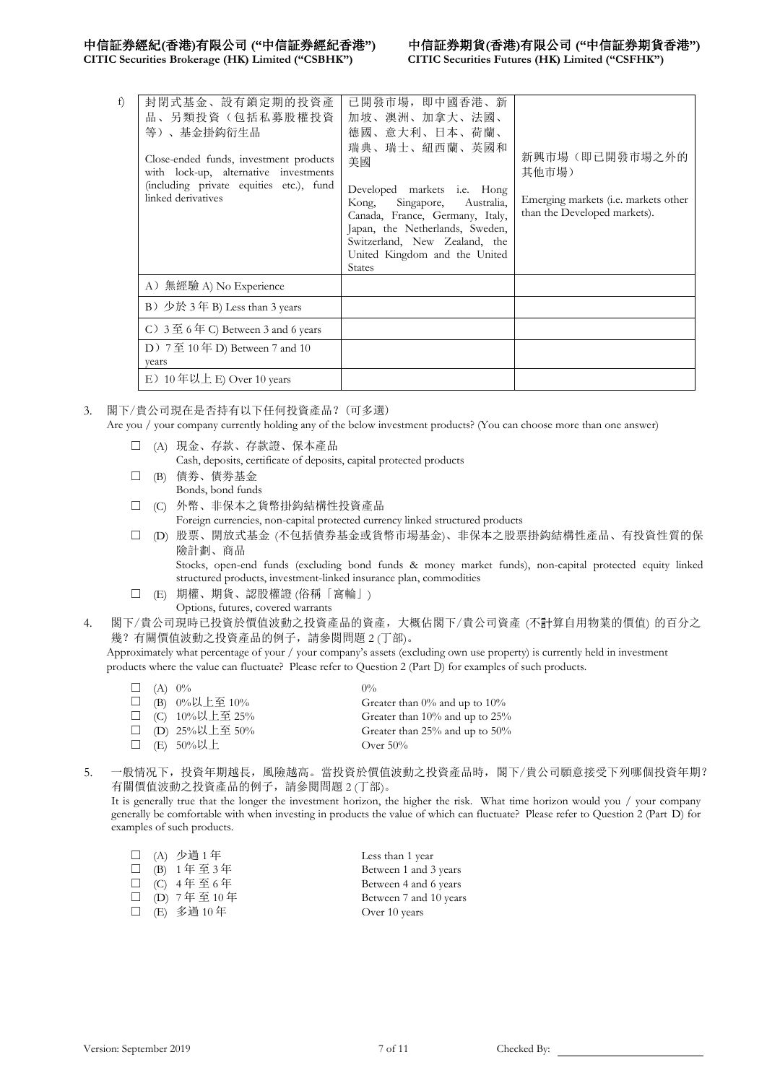**CITIC Securities Brokerage (HK) Limited ("CSBHK") CITIC Securities Futures (HK) Limited ("CSFHK")**

| f)<br>封閉式基金、設有鎖定期的投資產<br>品、另類投資(包括私募股權投資<br>等)、基金掛鈎衍生品<br>Close-ended funds, investment products<br>with lock-up, alternative investments<br>(including private equities etc.), fund<br>linked derivatives | 己開發市場, 即中國香港、新<br>加坡、澳洲、加拿大、法國、<br>德國、意大利、日本、荷蘭、<br>瑞典、瑞士、紐西蘭、英國和<br>美國<br>Developed markets <i>i.e.</i> Hong<br>Singapore,<br>Australia,<br>Kong,<br>Canada, France, Germany, Italy,<br>Japan, the Netherlands, Sweden,<br>Switzerland, New Zealand, the<br>United Kingdom and the United<br><b>States</b> | 新興市場(即已開發市場之外的<br>其他市場)<br>Emerging markets (i.e. markets other<br>than the Developed markets). |
|------------------------------------------------------------------------------------------------------------------------------------------------------------------------------------------------------------|-------------------------------------------------------------------------------------------------------------------------------------------------------------------------------------------------------------------------------------------------------------------------------------------------------------|-------------------------------------------------------------------------------------------------|
| A) 無經驗 A) No Experience                                                                                                                                                                                    |                                                                                                                                                                                                                                                                                                             |                                                                                                 |
| B) 少於 3年 B) Less than 3 years                                                                                                                                                                              |                                                                                                                                                                                                                                                                                                             |                                                                                                 |
| C) $3 \nsubseteq 6 \nsubseteq C$ Between 3 and 6 years                                                                                                                                                     |                                                                                                                                                                                                                                                                                                             |                                                                                                 |
| D) $7 \nsubseteq 10 \nsubseteq D$ Between 7 and 10<br>vears                                                                                                                                                |                                                                                                                                                                                                                                                                                                             |                                                                                                 |
| E) $10 \notin$ 以上 E) Over 10 years                                                                                                                                                                         |                                                                                                                                                                                                                                                                                                             |                                                                                                 |

- 3. 閣下/貴公司現在是否持有以下任何投資產品?(可多選) Are you / your company currently holding any of the below investment products? (You can choose more than one answer)
	- ☐ (A) 現金、存款、存款證、保本產品 Cash, deposits, certificate of deposits, capital protected products
	- □ (B) 債券、債券基金
	- Bonds, bond funds ☐ (C) 外幣、非保本之貨幣掛鈎結構性投資產品
		- Foreign currencies, non-capital protected currency linked structured products
	- ☐ (D) 股票、開放式基金 (不包括債券基金或貨幣市場基金)、非保本之股票掛鈎結構性產品、有投資性質的保 險計劃、商品

Stocks, open-end funds (excluding bond funds & money market funds), non-capital protected equity linked structured products, investment-linked insurance plan, commodities

- ☐ (E) 期權、期貨、認股權證 (俗稱「窩輪」)
	- Options, futures, covered warrants
- 4. 閣下/貴公司現時已投資於價值波動之投資產品的資產,大概佔閣下/貴公司資產 (不計算自用物業的價值) 的百分之 幾?有關價值波動之投資產品的例子,請參閱問題 2 (丁部)。

Approximately what percentage of your / your company's assets (excluding own use property) is currently held in investment products where the value can fluctuate? Please refer to Question 2 (Part D) for examples of such products.

| $\Box$ (A) $0\%$ |                     | $0\%$                               |
|------------------|---------------------|-------------------------------------|
|                  | □ (B) $0\%$ 以上至 10% | Greater than $0\%$ and up to $10\%$ |
|                  | □ (C) 10%以上至 25%    | Greater than 10% and up to 25%      |
|                  | □ (D) 25%以上至 50%    | Greater than 25% and up to $50\%$   |
|                  | □ (E) 50%以上         | Over $50\%$                         |

5. 一般情况下,投資年期越長,風險越高。當投資於價值波動之投資產品時,閣下/貴公司願意接受下列哪個投資年期? 有關價值波動之投資產品的例子,請參閱問題 2 (丁部)。

It is generally true that the longer the investment horizon, the higher the risk. What time horizon would you / your company generally be comfortable with when investing in products the value of which can fluctuate? Please refer to Question 2 (Part D) for examples of such products.

|  | □ (A) 少過 1年  | Less than 1 year       |
|--|--------------|------------------------|
|  | □ (B) 1年至3年  | Between 1 and 3 years  |
|  | □ (C) 4年至6年  | Between 4 and 6 years  |
|  | □ (D) 7年至10年 | Between 7 and 10 years |
|  | □ (E) 多過 10年 | Over 10 years          |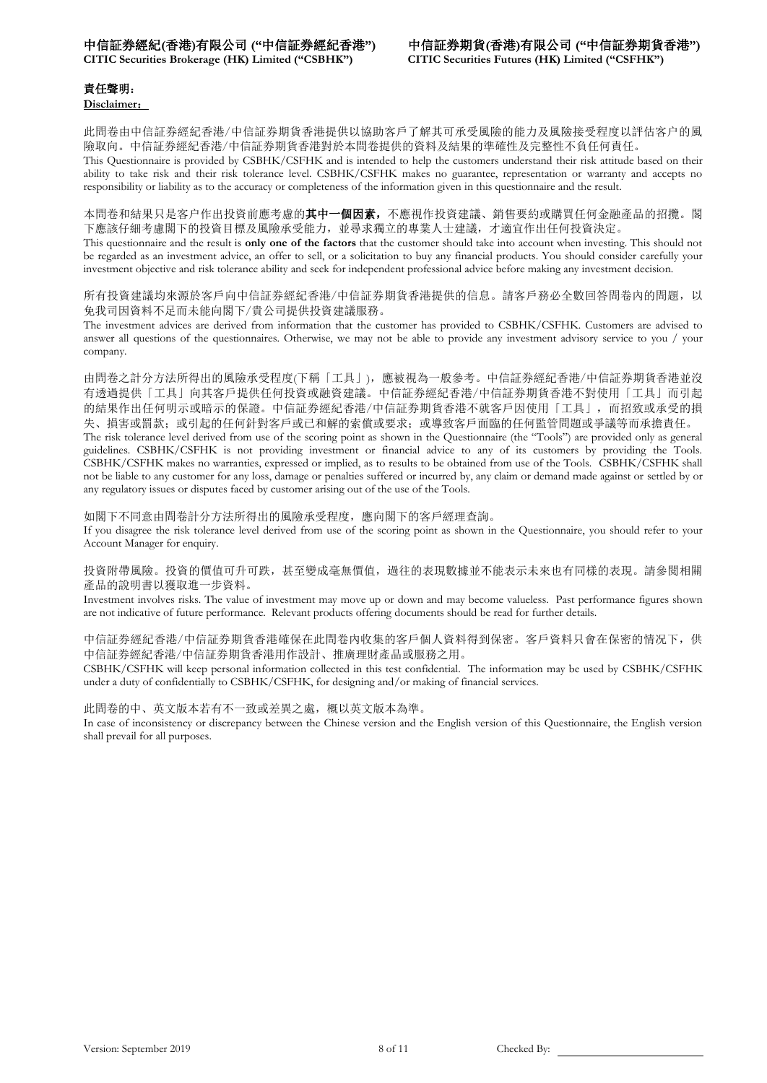**CITIC Securities Brokerage (HK) Limited ("CSBHK") CITIC Securities Futures (HK) Limited ("CSFHK")**

## 責任聲明:

**Disclaimer**:

此問卷由中信証券經紀香港/中信証券期貨香港提供以協助客戶了解其可承受風險的能力及風險接受程度以評估客户的風 險取向。中信証券經紀香港/中信証券期貨香港對於本問卷提供的資料及結果的準確性及完整性不負任何責任。

This Questionnaire is provided by CSBHK/CSFHK and is intended to help the customers understand their risk attitude based on their ability to take risk and their risk tolerance level. CSBHK/CSFHK makes no guarantee, representation or warranty and accepts no responsibility or liability as to the accuracy or completeness of the information given in this questionnaire and the result.

本問卷和結果只是客户作出投資前應考慮的其中一個因素,不應視作投資建議、銷售要約或購買任何金融產品的招攬。閣 下應該仔細考慮閣下的投資目標及風險承受能力,並尋求獨立的專業人士建議,才適宜作出任何投資決定。

This questionnaire and the result is **only one of the factors** that the customer should take into account when investing. This should not be regarded as an investment advice, an offer to sell, or a solicitation to buy any financial products. You should consider carefully your investment objective and risk tolerance ability and seek for independent professional advice before making any investment decision.

所有投資建議均來源於客戶向中信証券經紀香港/中信証券期貨香港提供的信息。請客戶務必全數回答問卷內的問題,以 免我司因資料不足而未能向閣下/貴公司提供投資建議服務。

The investment advices are derived from information that the customer has provided to CSBHK/CSFHK. Customers are advised to answer all questions of the questionnaires. Otherwise, we may not be able to provide any investment advisory service to you / your company.

由問卷之計分方法所得出的風險承受程度(下稱「工具」),應被視為一般參考。中信証券經紀香港/中信証券期貨香港並沒 有透過提供「工具」向其客戶提供任何投資或融資建議。中信証券經紀香港/中信証券期貨香港不對使用「工具」而引起 的結果作出任何明示或暗示的保證。中信証券經紀香港/中信証券期貨香港不就客戶因使用「工具」,而招致或承受的損 失、損害或罰款;或引起的任何針對客戶或已和解的索償或要求;或導致客戶面臨的任何監管問題或爭議等而承擔責任。

The risk tolerance level derived from use of the scoring point as shown in the Questionnaire (the "Tools") are provided only as general guidelines. CSBHK/CSFHK is not providing investment or financial advice to any of its customers by providing the Tools. CSBHK/CSFHK makes no warranties, expressed or implied, as to results to be obtained from use of the Tools. CSBHK/CSFHK shall not be liable to any customer for any loss, damage or penalties suffered or incurred by, any claim or demand made against or settled by or any regulatory issues or disputes faced by customer arising out of the use of the Tools.

如閣下不同意由問卷計分方法所得出的風險承受程度,應向閣下的客戶經理查詢。 If you disagree the risk tolerance level derived from use of the scoring point as shown in the Questionnaire, you should refer to your Account Manager for enquiry.

投資附帶風險。投資的價值可升可跌,甚至變成毫無價值,過往的表現數據並不能表示未來也有同樣的表現。請參閱相關 產品的說明書以獲取進一步資料。

Investment involves risks. The value of investment may move up or down and may become valueless. Past performance figures shown are not indicative of future performance. Relevant products offering documents should be read for further details.

中信証券經紀香港/中信証券期貨香港確保在此問卷內收集的客戶個人資料得到保密。客戶資料只會在保密的情况下,供 中信証券經紀香港/中信証券期貨香港用作設計、推廣理財產品或服務之用。

CSBHK/CSFHK will keep personal information collected in this test confidential. The information may be used by CSBHK/CSFHK under a duty of confidentially to CSBHK/CSFHK, for designing and/or making of financial services.

此問卷的中、英文版本若有不一致或差異之處,概以英文版本為準。 In case of inconsistency or discrepancy between the Chinese version and the English version of this Questionnaire, the English version shall prevail for all purposes.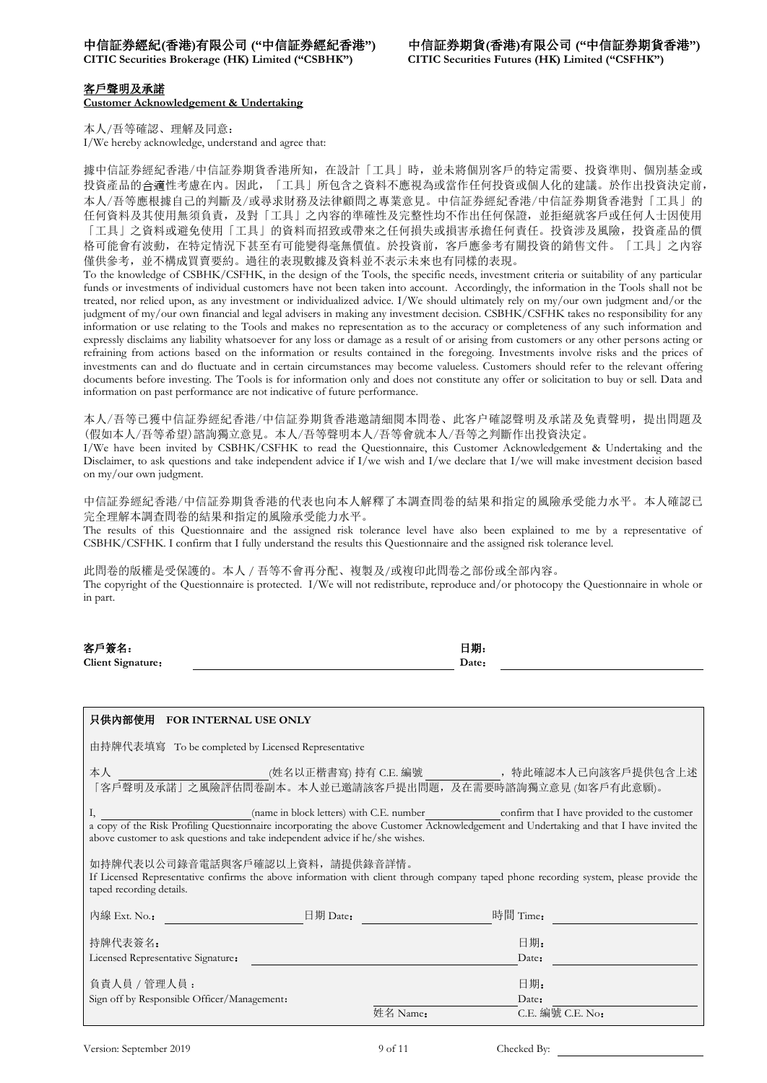**CITIC Securities Brokerage (HK) Limited ("CSBHK") CITIC Securities Futures (HK) Limited ("CSFHK")**

### 客戶聲明及承諾

**Customer Acknowledgement & Undertaking**

本人/吾等確認、理解及同意: I/We hereby acknowledge, understand and agree that:

據中信証券經紀香港/中信証券期貨香港所知,在設計「工具」時,並未將個別客戶的特定需要、投資準則、個別基金或 投資產品的合適性考慮在內。因此,「工具」所包含之資料不應視為或當作任何投資或個人化的建議。於作出投資決定前, 本人/吾等應根據自己的判斷及/或尋求財務及法律顧問之專業意見。中信証券經紀香港/中信証券期貨香港對「工具」的 任何資料及其使用無須負責,及對「工具」之內容的準確性及完整性均不作出任何保證,並拒絕就客戶或任何人士因使用 「工具」之資料或避免使用「工具」的資料而招致或帶來之任何損失或損害承擔任何責任。投資涉及風險,投資產品的價 格可能會有波動,在特定情況下甚至有可能變得毫無價值。於投資前,客戶應參考有關投資的銷售文件。「工具」之內容 僅供參考,並不構成買賣要約。過往的表現數據及資料並不表示未來也有同樣的表現。

To the knowledge of CSBHK/CSFHK, in the design of the Tools, the specific needs, investment criteria or suitability of any particular funds or investments of individual customers have not been taken into account. Accordingly, the information in the Tools shall not be treated, nor relied upon, as any investment or individualized advice. I/We should ultimately rely on my/our own judgment and/or the judgment of my/our own financial and legal advisers in making any investment decision. CSBHK/CSFHK takes no responsibility for any information or use relating to the Tools and makes no representation as to the accuracy or completeness of any such information and expressly disclaims any liability whatsoever for any loss or damage as a result of or arising from customers or any other persons acting or refraining from actions based on the information or results contained in the foregoing. Investments involve risks and the prices of investments can and do fluctuate and in certain circumstances may become valueless. Customers should refer to the relevant offering documents before investing. The Tools is for information only and does not constitute any offer or solicitation to buy or sell. Data and information on past performance are not indicative of future performance.

本人/吾等已獲中信証券經紀香港/中信証券期貨香港邀請細閱本問卷、此客户確認聲明及承諾及免責聲明,提出問題及 (假如本人/吾等希望)諮詢獨立意見。本人/吾等聲明本人/吾等會就本人/吾等之判斷作出投資決定。

I/We have been invited by CSBHK/CSFHK to read the Questionnaire, this Customer Acknowledgement & Undertaking and the Disclaimer, to ask questions and take independent advice if I/we wish and I/we declare that I/we will make investment decision based on my/our own judgment.

中信証券經紀香港/中信証券期貨香港的代表也向本人解釋了本調查問卷的結果和指定的風險承受能力水平。本人確認已 完全理解本調查問卷的結果和指定的風險承受能力水平。

The results of this Questionnaire and the assigned risk tolerance level have also been explained to me by a representative of CSBHK/CSFHK. I confirm that I fully understand the results this Questionnaire and the assigned risk tolerance level.

此問卷的版權是受保護的。本人 / 吾等不會再分配、複製及/或複印此問卷之部份或全部內容。 The copyright of the Questionnaire is protected. I/We will not redistribute, reproduce and/or photocopy the Questionnaire in whole or in part.

| 客戶簽名:             | 日期:   |  |
|-------------------|-------|--|
| Client Signature: | Date: |  |
|                   |       |  |

| 只供内部使用 FOR INTERNAL USE ONLY                                                                                                                                                                                                                                                                                               |                                                                                                        |  |  |  |  |  |
|----------------------------------------------------------------------------------------------------------------------------------------------------------------------------------------------------------------------------------------------------------------------------------------------------------------------------|--------------------------------------------------------------------------------------------------------|--|--|--|--|--|
| 由持牌代表填寫 To be completed by Licensed Representative                                                                                                                                                                                                                                                                         |                                                                                                        |  |  |  |  |  |
| 本人                                                                                                                                                                                                                                                                                                                         | (姓名以正楷書寫) 持有 C.E. 編號<br>, 特此確認本人已向該客戶提供包含上述<br>「客戶聲明及承諾」之風險評估問卷副本。本人並已邀請該客戶提出問題,及在需要時諮詢獨立意見 (如客戶有此意願)。 |  |  |  |  |  |
| (name in block letters) with C.E. number<br>confirm that I have provided to the customer<br>Ι,<br>a copy of the Risk Profiling Questionnaire incorporating the above Customer Acknowledgement and Undertaking and that I have invited the<br>above customer to ask questions and take independent advice if he/she wishes. |                                                                                                        |  |  |  |  |  |
| 如持牌代表以公司錄音電話與客戶確認以上資料,請提供錄音詳情。<br>If Licensed Representative confirms the above information with client through company taped phone recording system, please provide the<br>taped recording details.                                                                                                                       |                                                                                                        |  |  |  |  |  |
| 內線 Ext. No.:<br>$\boxplus$ 期 Date:                                                                                                                                                                                                                                                                                         | 時間 Time:                                                                                               |  |  |  |  |  |
| 持牌代表簽名:<br>Licensed Representative Signature:                                                                                                                                                                                                                                                                              | 日期:<br>Date:                                                                                           |  |  |  |  |  |
| 負責人員 / 管理人員:<br>Sign off by Responsible Officer/Management:                                                                                                                                                                                                                                                                | 日期:<br>Date:                                                                                           |  |  |  |  |  |
|                                                                                                                                                                                                                                                                                                                            | $C.E.$ 編號 $C.E.$ No:<br>姓名 Name:                                                                       |  |  |  |  |  |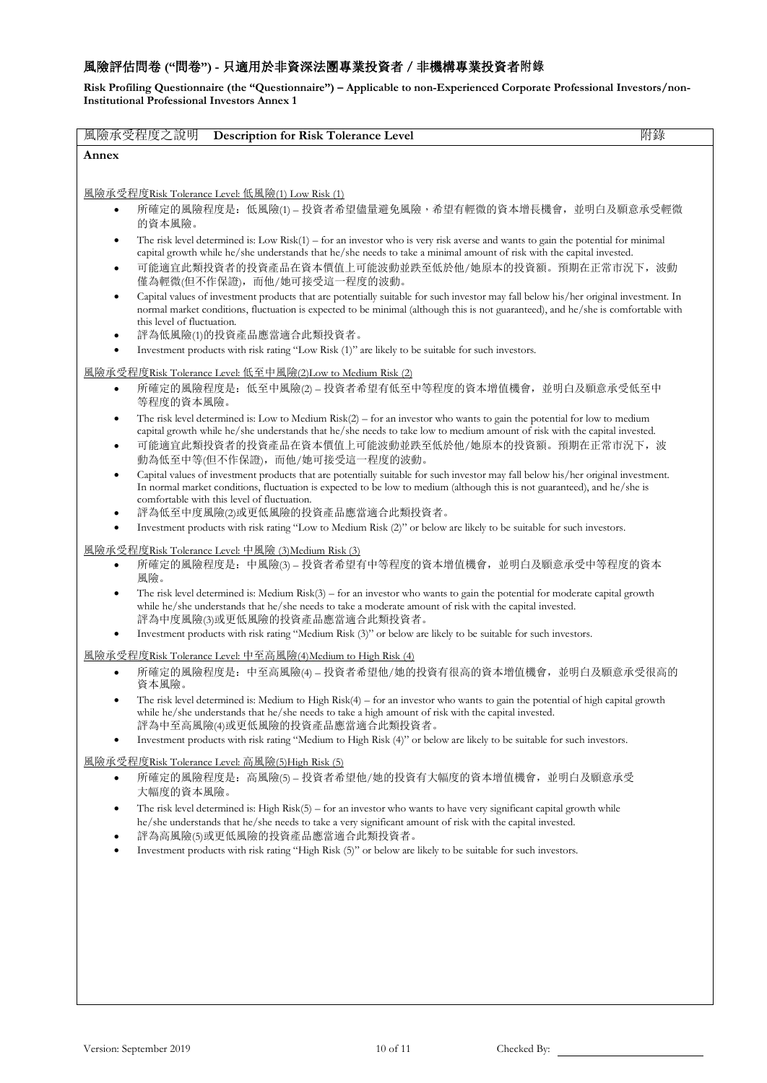## 風險評估問卷 **("**問卷**") -** 只適用於非資深法團專業投資者/非機構專業投資者附錄

**Risk Profiling Questionnaire (the "Questionnaire") – Applicable to non-Experienced Corporate Professional Investors/non-Institutional Professional Investors Annex 1**

| 風險承受程度之說明<br><b>Description for Risk Tolerance Level</b>                                                                                                                                                                                                                                                                                                      | 附錄 |
|---------------------------------------------------------------------------------------------------------------------------------------------------------------------------------------------------------------------------------------------------------------------------------------------------------------------------------------------------------------|----|
| Annex                                                                                                                                                                                                                                                                                                                                                         |    |
|                                                                                                                                                                                                                                                                                                                                                               |    |
| <u> 風險承受程度Risk Tolerance Level: 低風險(1) Low Risk (1)</u>                                                                                                                                                                                                                                                                                                       |    |
| 所確定的風險程度是: 低風險(1)-投資者希望儘量避免風險,希望有輕微的資本增長機會, 並明白及願意承受輕微<br>$\bullet$<br>的資本風險。                                                                                                                                                                                                                                                                                 |    |
| The risk level determined is: Low $Risk(1) - for$ an investor who is very risk averse and wants to gain the potential for minimal<br>capital growth while he/she understands that he/she needs to take a minimal amount of risk with the capital invested.<br>可能適宜此類投資者的投資產品在資本價值上可能波動並跌至低於他/她原本的投資額。預期在正常市況下,波動<br>$\bullet$<br>僅為輕微(但不作保證),而他/她可接受這一程度的波動。  |    |
| Capital values of investment products that are potentially suitable for such investor may fall below his/her original investment. In<br>$\bullet$<br>normal market conditions, fluctuation is expected to be minimal (although this is not guaranteed), and he/she is comfortable with<br>this level of fluctuation.<br>評為低風險(1)的投資產品應當適合此類投資者。               |    |
| Investment products with risk rating "Low Risk (1)" are likely to be suitable for such investors.                                                                                                                                                                                                                                                             |    |
|                                                                                                                                                                                                                                                                                                                                                               |    |
| <u> 風險承受程度Risk Tolerance Level: 低至中風險(2)Low to Medium Risk (2)</u><br>所確定的風險程度是:低至中風險(2) - 投資者希望有低至中等程度的資本增值機會,並明白及願意承受低至中<br>$\bullet$<br>等程度的資本風險。                                                                                                                                                                                                          |    |
| The risk level determined is: Low to Medium $Risk(2) - for$ an investor who wants to gain the potential for low to medium<br>capital growth while he/she understands that he/she needs to take low to medium amount of risk with the capital invested.<br>可能適宜此類投資者的投資產品在資本價值上可能波動並跌至低於他/她原本的投資額。預期在正常市況下,波<br>$\bullet$<br>動為低至中等(但不作保證),而他/她可接受這一程度的波動。     |    |
| Capital values of investment products that are potentially suitable for such investor may fall below his/her original investment.<br>$\bullet$<br>In normal market conditions, fluctuation is expected to be low to medium (although this is not guaranteed), and he/she is<br>comfortable with this level of fluctuation.<br>評為低至中度風險(2)或更低風險的投資產品應當適合此類投資者。 |    |
| Investment products with risk rating "Low to Medium Risk (2)" or below are likely to be suitable for such investors.                                                                                                                                                                                                                                          |    |
| <u> 風險承受程度Risk Tolerance Level: 中風險 (3)Medium Risk (3)</u>                                                                                                                                                                                                                                                                                                    |    |
| 所確定的風險程度是: 中風險(3)-投資者希望有中等程度的資本增值機會,並明白及願意承受中等程度的資本<br>$\bullet$<br>風險。                                                                                                                                                                                                                                                                                       |    |
| The risk level determined is: Medium $Risk(3) - for$ an investor who wants to gain the potential for moderate capital growth<br>while he/she understands that he/she needs to take a moderate amount of risk with the capital invested.<br>評為中度風險(3)或更低風險的投資產品應當適合此類投資者。                                                                                      |    |
| Investment products with risk rating "Medium Risk (3)" or below are likely to be suitable for such investors.                                                                                                                                                                                                                                                 |    |
| 風險承受程度Risk Tolerance Level: 中至高風險(4)Medium to High Risk (4)                                                                                                                                                                                                                                                                                                   |    |
| 所確定的風險程度是: 中至高風險(4)-投資者希望他/她的投資有很高的資本增值機會, 並明白及願意承受很高的<br>資本風險。                                                                                                                                                                                                                                                                                               |    |
| The risk level determined is: Medium to High $Risk(4) -$ for an investor who wants to gain the potential of high capital growth<br>while he/she understands that he/she needs to take a high amount of risk with the capital invested.<br>評為中至高風險(4)或更低風險的投資產品應當適合此類投資者。                                                                                      |    |
| Investment products with risk rating "Medium to High Risk (4)" or below are likely to be suitable for such investors.<br>$\bullet$                                                                                                                                                                                                                            |    |
| 風險承受程度Risk Tolerance Level: 高風險(5)High Risk (5)                                                                                                                                                                                                                                                                                                               |    |
| 所確定的風險程度是: 高風險(5) - 投資者希望他/她的投資有大幅度的資本增值機會, 並明白及願意承受<br>$\bullet$<br>大幅度的資本風險。                                                                                                                                                                                                                                                                                |    |
| The risk level determined is: High $Risk(5) - for$ an investor who wants to have very significant capital growth while<br>٠<br>he/she understands that he/she needs to take a very significant amount of risk with the capital invested.<br>評為高風險(5)或更低風險的投資產品應當適合此類投資者。                                                                                      |    |
| Investment products with risk rating "High Risk (5)" or below are likely to be suitable for such investors.                                                                                                                                                                                                                                                   |    |
|                                                                                                                                                                                                                                                                                                                                                               |    |
|                                                                                                                                                                                                                                                                                                                                                               |    |